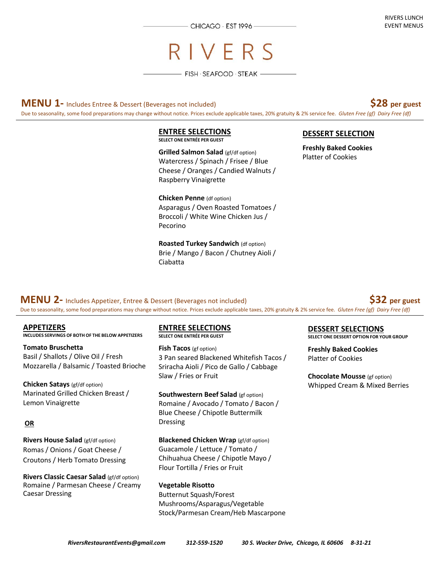CHICAGO · EST 1996-

# RIVERS

 $-$  Fish  $\cdot$  Seafood  $\cdot$  Steak  $-$ 

**MENU 1-** Includes Entree & Dessert (Beverages not included) **\$28 per guest**

Due to seasonality, some food preparations may change without notice. Prices exclude applicable taxes, 20% gratuity & 2% service fee. *Gluten Free (gf) Dairy Free (df)*

#### **ENTREE SELECTIONS SELECT ONE ENTRÉE PER GUEST**

**Grilled Salmon Salad** (gf/df option) Watercress / Spinach / Frisee / Blue Cheese / Oranges / Candied Walnuts / Raspberry Vinaigrette

**Chicken Penne** (df option) Asparagus / Oven Roasted Tomatoes / Broccoli / White Wine Chicken Jus / Pecorino

**Roasted Turkey Sandwich (df option)** Brie / Mango / Bacon / Chutney Aioli / Ciabatta

### **DESSERT SELECTION**

**Freshly Baked Cookies**  Platter of Cookies

**MENU 2-** Includes Appetizer, Entree & Dessert (Beverages not included) **\$32 per guest** 

Due to seasonality, some food preparations may change without notice. Prices exclude applicable taxes, 20% gratuity & 2% service fee. *Gluten Free (gf) Dairy Free (df)*

**APPETIZERS INCLUDES SERVINGS OF BOTH OF THE BELOW APPETIZERS** 

**Tomato Bruschetta**  Basil / Shallots / Olive Oil / Fresh Mozzarella / Balsamic / Toasted Brioche

**Chicken Satays** (gf/df option) Marinated Grilled Chicken Breast / Lemon Vinaigrette

### **OR**

**Rivers House Salad** (gf/df option) Romas / Onions / Goat Cheese / Croutons / Herb Tomato Dressing

**Rivers Classic Caesar Salad** (gf/df option) Romaine / Parmesan Cheese / Creamy Caesar Dressing

#### **ENTREE SELECTIONS SELECT ONE ENTRÉE PER GUEST**

**Fish Tacos** (gf option) 3 Pan seared Blackened Whitefish Tacos / Sriracha Aioli / Pico de Gallo / Cabbage Slaw / Fries or Fruit

**Southwestern Beef Salad** (gf option) Romaine / Avocado / Tomato / Bacon / Blue Cheese / Chipotle Buttermilk Dressing

**Blackened Chicken Wrap** (gf/df option) Guacamole / Lettuce / Tomato / Chihuahua Cheese / Chipotle Mayo / Flour Tortilla / Fries or Fruit

**Vegetable Risotto**  Butternut Squash/Forest Mushrooms/Asparagus/Vegetable Stock/Parmesan Cream/Heb Mascarpone

### **DESSERT SELECTIONS**

**SELECT ONE DESSERT OPTION FOR YOUR GROUP** 

**Freshly Baked Cookies**  Platter of Cookies

**Chocolate Mousse** (gf option) Whipped Cream & Mixed Berries